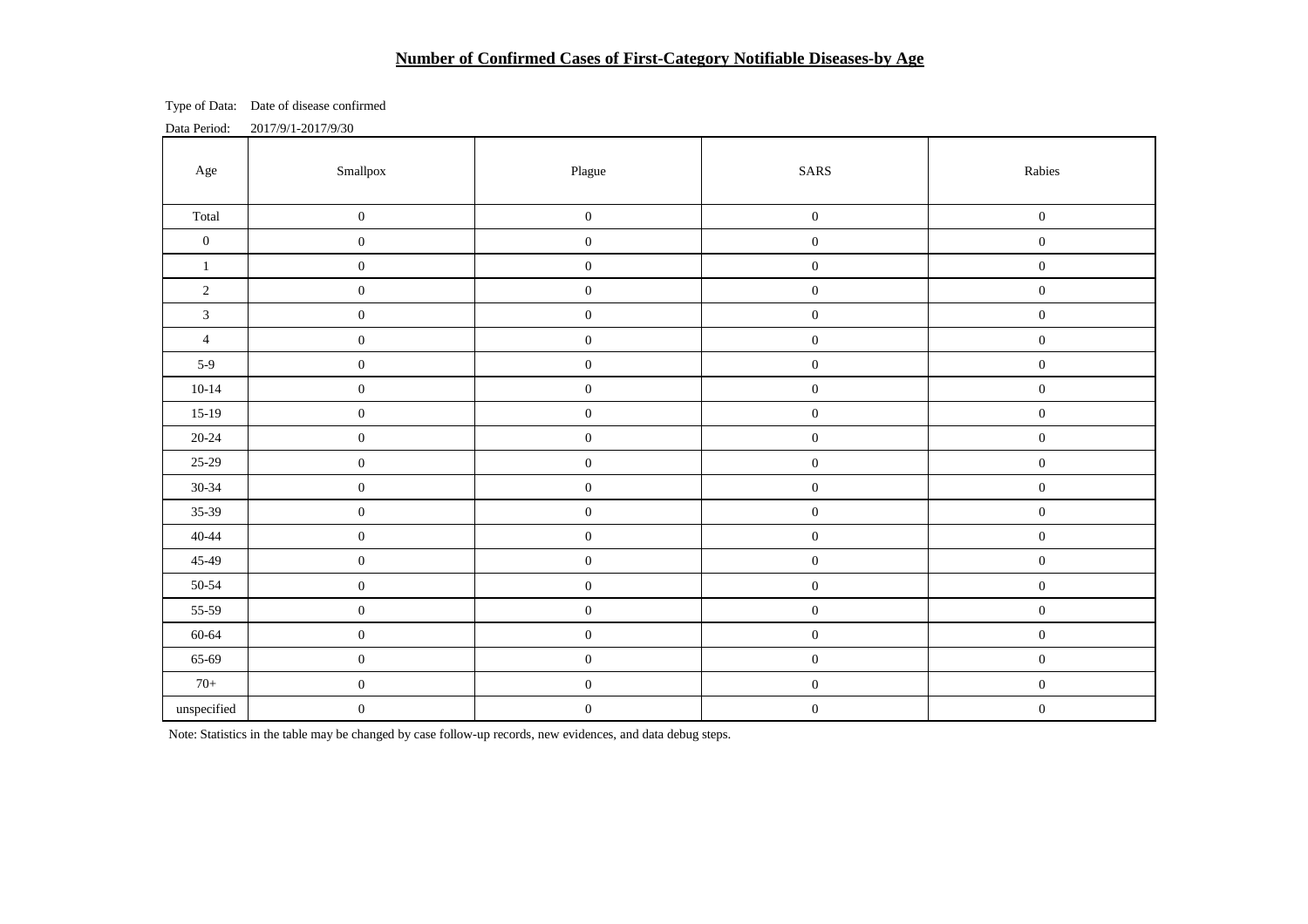# **Number of Confirmed Cases of First-Category Notifiable Diseases-by Age**

Type of Data: Date of disease confirmed

Data Period: 2017/9/1-2017/9/30

| Age              | Smallpox         | Plague           | $\mbox{SARS}$    | Rabies           |  |
|------------------|------------------|------------------|------------------|------------------|--|
| Total            | $\boldsymbol{0}$ | $\boldsymbol{0}$ | $\boldsymbol{0}$ | $\boldsymbol{0}$ |  |
| $\boldsymbol{0}$ | $\boldsymbol{0}$ | $\boldsymbol{0}$ | $\boldsymbol{0}$ | $\boldsymbol{0}$ |  |
| $\mathbf{1}$     | $\boldsymbol{0}$ | $\boldsymbol{0}$ | $\boldsymbol{0}$ | $\boldsymbol{0}$ |  |
| $\sqrt{2}$       | $\boldsymbol{0}$ | $\boldsymbol{0}$ | $\boldsymbol{0}$ | $\boldsymbol{0}$ |  |
| $\overline{3}$   | $\boldsymbol{0}$ | $\boldsymbol{0}$ | $\boldsymbol{0}$ | $\boldsymbol{0}$ |  |
| $\overline{4}$   | $\boldsymbol{0}$ | $\boldsymbol{0}$ | $\boldsymbol{0}$ | $\boldsymbol{0}$ |  |
| $5-9$            | $\boldsymbol{0}$ | $\boldsymbol{0}$ | $\boldsymbol{0}$ | $\boldsymbol{0}$ |  |
| $10 - 14$        | $\boldsymbol{0}$ | $\boldsymbol{0}$ | $\boldsymbol{0}$ | $\boldsymbol{0}$ |  |
| $15-19$          | $\boldsymbol{0}$ | $\boldsymbol{0}$ | $\boldsymbol{0}$ | $\boldsymbol{0}$ |  |
| $20 - 24$        | $\boldsymbol{0}$ | $\boldsymbol{0}$ | $\boldsymbol{0}$ | $\boldsymbol{0}$ |  |
| $25-29$          | $\boldsymbol{0}$ | $\boldsymbol{0}$ | $\boldsymbol{0}$ | $\boldsymbol{0}$ |  |
| $30 - 34$        | $\boldsymbol{0}$ | $\boldsymbol{0}$ | $\boldsymbol{0}$ | $\boldsymbol{0}$ |  |
| $35-39$          | $\boldsymbol{0}$ | $\boldsymbol{0}$ | $\boldsymbol{0}$ | $\boldsymbol{0}$ |  |
| $40 - 44$        | $\boldsymbol{0}$ | $\boldsymbol{0}$ | $\boldsymbol{0}$ | $\boldsymbol{0}$ |  |
| 45-49            | $\boldsymbol{0}$ | $\boldsymbol{0}$ | $\boldsymbol{0}$ | $\boldsymbol{0}$ |  |
| $50 - 54$        | $\boldsymbol{0}$ | $\boldsymbol{0}$ | $\boldsymbol{0}$ | $\boldsymbol{0}$ |  |
| 55-59            | $\boldsymbol{0}$ | $\boldsymbol{0}$ | $\boldsymbol{0}$ | $\boldsymbol{0}$ |  |
| 60-64            | $\boldsymbol{0}$ | $\boldsymbol{0}$ | $\boldsymbol{0}$ | $\boldsymbol{0}$ |  |
| 65-69            | $\boldsymbol{0}$ | $\boldsymbol{0}$ | $\boldsymbol{0}$ | $\boldsymbol{0}$ |  |
| $70+$            | $\boldsymbol{0}$ | $\boldsymbol{0}$ | $\boldsymbol{0}$ | $\boldsymbol{0}$ |  |
| $\!$ unspecified | $\boldsymbol{0}$ | $\boldsymbol{0}$ | $\boldsymbol{0}$ | $\boldsymbol{0}$ |  |

Note: Statistics in the table may be changed by case follow-up records, new evidences, and data debug steps.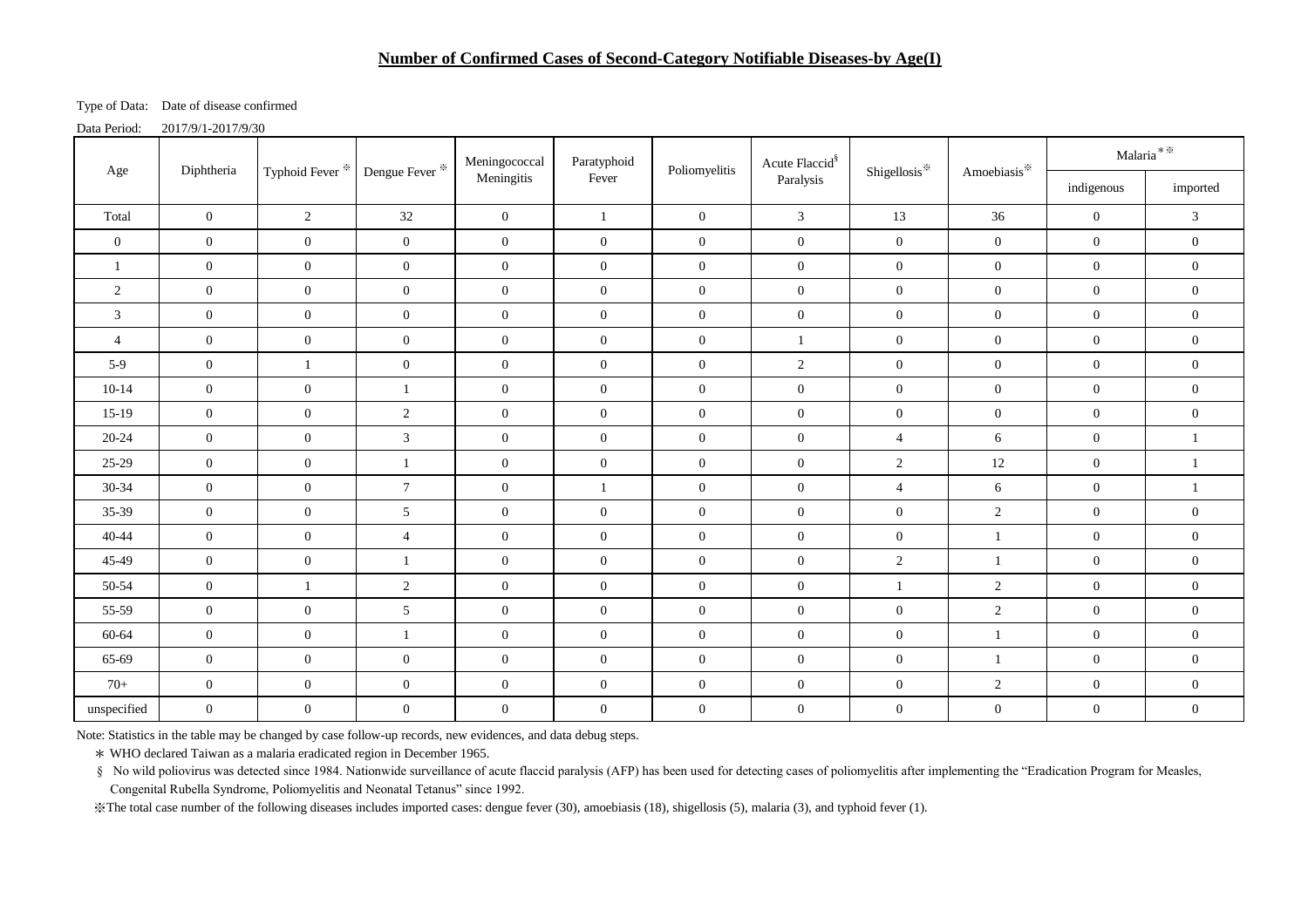### **Number of Confirmed Cases of Second-Category Notifiable Diseases-by Age(I)**

Type of Data: Date of disease confirmed

Data Period: 2017/9/1-2017/9/30

| Diphtheria<br>Age |                | Typhoid Fever <sup>※</sup> | Dengue Fever <sup>*</sup> | Meningococcal    | Paratyphoid      | Poliomyelitis    | Acute Flaccid <sup>§</sup> | Shigellosis <sup>*</sup> | Amoebiasis*      | $\mathrm{Malaria}^{**}$ |                  |
|-------------------|----------------|----------------------------|---------------------------|------------------|------------------|------------------|----------------------------|--------------------------|------------------|-------------------------|------------------|
|                   |                |                            |                           | Meningitis       | Fever            |                  | Paralysis                  |                          |                  | indigenous              | imported         |
| Total             | $\overline{0}$ | $\overline{2}$             | $32\,$                    | $\overline{0}$   | $\mathbf{1}$     | $\overline{0}$   | $\mathfrak{Z}$             | 13                       | 36               | $\boldsymbol{0}$        | $\mathfrak{Z}$   |
| $\overline{0}$    | $\overline{0}$ | $\mathbf{0}$               | $\mathbf{0}$              | $\boldsymbol{0}$ | $\mathbf{0}$     | $\boldsymbol{0}$ | $\boldsymbol{0}$           | $\boldsymbol{0}$         | $\boldsymbol{0}$ | $\boldsymbol{0}$        | $\boldsymbol{0}$ |
| $\mathbf{1}$      | $\overline{0}$ | $\boldsymbol{0}$           | $\overline{0}$            | $\boldsymbol{0}$ | $\overline{0}$   | $\overline{0}$   | $\overline{0}$             | $\boldsymbol{0}$         | $\overline{0}$   | $\overline{0}$          | $\boldsymbol{0}$ |
| 2                 | $\overline{0}$ | $\mathbf{0}$               | $\boldsymbol{0}$          | $\mathbf{0}$     | $\overline{0}$   | $\boldsymbol{0}$ | $\overline{0}$             | $\overline{0}$           | $\mathbf{0}$     | $\overline{0}$          | $\boldsymbol{0}$ |
| 3                 | $\overline{0}$ | $\boldsymbol{0}$           | $\boldsymbol{0}$          | $\mathbf{0}$     | $\overline{0}$   | $\boldsymbol{0}$ | $\boldsymbol{0}$           | $\boldsymbol{0}$         | $\overline{0}$   | $\boldsymbol{0}$        | $\boldsymbol{0}$ |
| $\overline{4}$    | $\overline{0}$ | $\boldsymbol{0}$           | $\boldsymbol{0}$          | $\boldsymbol{0}$ | $\overline{0}$   | $\boldsymbol{0}$ | $\mathbf{1}$               | $\overline{0}$           | $\mathbf{0}$     | $\boldsymbol{0}$        | $\boldsymbol{0}$ |
| $5-9$             | $\overline{0}$ | $\mathbf{1}$               | $\boldsymbol{0}$          | $\boldsymbol{0}$ | $\overline{0}$   | $\boldsymbol{0}$ | $\overline{2}$             | $\boldsymbol{0}$         | $\overline{0}$   | $\boldsymbol{0}$        | $\boldsymbol{0}$ |
| $10-14$           | $\overline{0}$ | $\overline{0}$             | $\mathbf{1}$              | $\mathbf{0}$     | $\overline{0}$   | $\boldsymbol{0}$ | $\boldsymbol{0}$           | $\boldsymbol{0}$         | $\boldsymbol{0}$ | $\boldsymbol{0}$        | $\boldsymbol{0}$ |
| $15-19$           | $\overline{0}$ | $\mathbf{0}$               | $\overline{c}$            | $\mathbf{0}$     | $\overline{0}$   | $\boldsymbol{0}$ | $\overline{0}$             | $\overline{0}$           | $\overline{0}$   | $\boldsymbol{0}$        | $\boldsymbol{0}$ |
| 20-24             | $\overline{0}$ | $\mathbf{0}$               | 3                         | $\mathbf{0}$     | $\overline{0}$   | $\boldsymbol{0}$ | $\overline{0}$             | $\overline{4}$           | 6                | $\boldsymbol{0}$        | $\mathbf{1}$     |
| $25-29$           | $\overline{0}$ | $\mathbf{0}$               | $\mathbf{1}$              | $\mathbf{0}$     | $\overline{0}$   | $\boldsymbol{0}$ | $\overline{0}$             | 2                        | 12               | $\boldsymbol{0}$        | $\mathbf{1}$     |
| 30-34             | $\overline{0}$ | $\boldsymbol{0}$           | $7\phantom{.0}$           | $\boldsymbol{0}$ | 1                | $\boldsymbol{0}$ | $\boldsymbol{0}$           | $\overline{4}$           | 6                | $\boldsymbol{0}$        | $\mathbf{1}$     |
| 35-39             | $\overline{0}$ | $\boldsymbol{0}$           | $\mathfrak{S}$            | $\boldsymbol{0}$ | $\boldsymbol{0}$ | $\boldsymbol{0}$ | $\overline{0}$             | $\boldsymbol{0}$         | $\overline{2}$   | $\boldsymbol{0}$        | $\boldsymbol{0}$ |
| $40 - 44$         | $\overline{0}$ | $\overline{0}$             | $\overline{4}$            | $\boldsymbol{0}$ | $\overline{0}$   | $\overline{0}$   | $\mathbf{0}$               | $\boldsymbol{0}$         | $\mathbf{1}$     | $\overline{0}$          | $\boldsymbol{0}$ |
| 45-49             | $\overline{0}$ | $\overline{0}$             | $\mathbf{1}$              | $\boldsymbol{0}$ | $\overline{0}$   | $\boldsymbol{0}$ | $\boldsymbol{0}$           | 2                        | $\mathbf{1}$     | $\boldsymbol{0}$        | $\boldsymbol{0}$ |
| 50-54             | $\overline{0}$ | $\mathbf{1}$               | $\overline{2}$            | $\mathbf{0}$     | $\overline{0}$   | $\boldsymbol{0}$ | $\overline{0}$             | $\mathbf{1}$             | $\overline{2}$   | $\boldsymbol{0}$        | $\boldsymbol{0}$ |
| 55-59             | $\overline{0}$ | $\mathbf{0}$               | 5                         | $\mathbf{0}$     | $\overline{0}$   | $\boldsymbol{0}$ | $\overline{0}$             | $\boldsymbol{0}$         | $\overline{2}$   | $\boldsymbol{0}$        | $\boldsymbol{0}$ |
| 60-64             | $\overline{0}$ | $\mathbf{0}$               | 1                         | $\mathbf{0}$     | $\boldsymbol{0}$ | $\boldsymbol{0}$ | $\overline{0}$             | $\overline{0}$           | 1                | $\boldsymbol{0}$        | $\boldsymbol{0}$ |
| 65-69             | $\overline{0}$ | $\mathbf{0}$               | $\boldsymbol{0}$          | $\mathbf{0}$     | $\overline{0}$   | $\boldsymbol{0}$ | $\overline{0}$             | $\overline{0}$           | $\mathbf{1}$     | $\boldsymbol{0}$        | $\boldsymbol{0}$ |
| $70+$             | $\overline{0}$ | $\boldsymbol{0}$           | $\boldsymbol{0}$          | $\boldsymbol{0}$ | $\boldsymbol{0}$ | $\boldsymbol{0}$ | $\boldsymbol{0}$           | $\overline{0}$           | $\overline{2}$   | $\boldsymbol{0}$        | $\boldsymbol{0}$ |
| unspecified       | $\overline{0}$ | $\boldsymbol{0}$           | $\boldsymbol{0}$          | $\boldsymbol{0}$ | $\mathbf{0}$     | $\boldsymbol{0}$ | $\boldsymbol{0}$           | $\boldsymbol{0}$         | $\mathbf{0}$     | $\boldsymbol{0}$        | $\boldsymbol{0}$ |

Note: Statistics in the table may be changed by case follow-up records, new evidences, and data debug steps.

\* WHO declared Taiwan as a malaria eradicated region in December 1965.

§ No wild poliovirus was detected since 1984. Nationwide surveillance of acute flaccid paralysis (AFP) has been used for detecting cases of poliomyelitis after implementing the "Eradication Program for Measles, Congenital Rubella Syndrome, Poliomyelitis and Neonatal Tetanus" since 1992.

※The total case number of the following diseases includes imported cases: dengue fever (30), amoebiasis (18), shigellosis (5), malaria (3), and typhoid fever (1).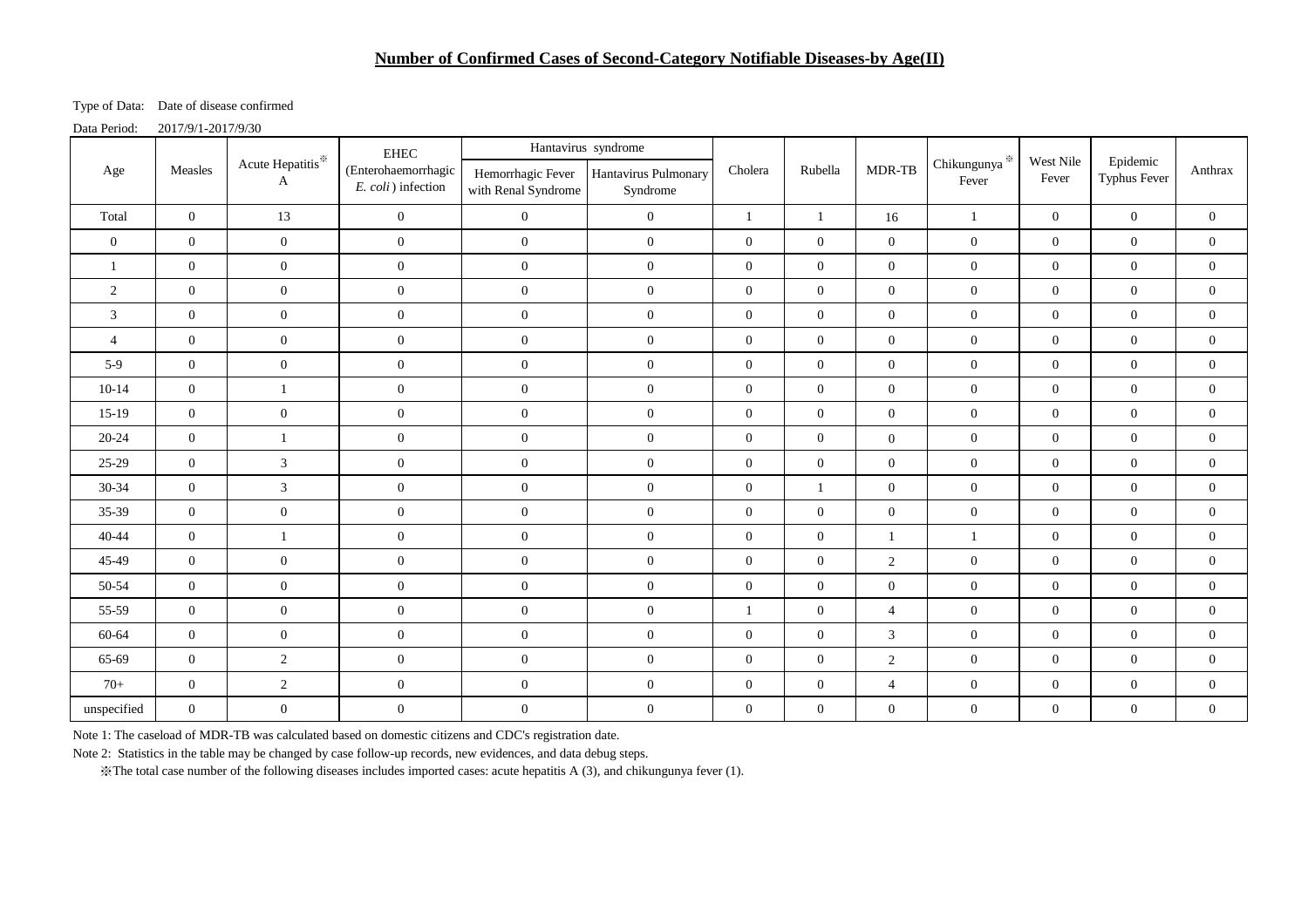# **Number of Confirmed Cases of Second-Category Notifiable Diseases-by Age(II)**

Type of Data: Date of disease confirmed

Data Period: 2017/9/1-2017/9/30

|                |                  |                               | <b>EHEC</b>                               | Hantavirus syndrome |                                                      |                  |                  |                  |                                    |                    |                                 |                |
|----------------|------------------|-------------------------------|-------------------------------------------|---------------------|------------------------------------------------------|------------------|------------------|------------------|------------------------------------|--------------------|---------------------------------|----------------|
| Age            | Measles<br>A     | Acute Hepatitis <sup>**</sup> | (Enterohaemorrhagic<br>E. coli) infection | with Renal Syndrome | Hemorrhagic Fever   Hantavirus Pulmonary<br>Syndrome | Cholera          | Rubella          | MDR-TB           | Chikungunya $\!{\rm \AA}$<br>Fever | West Nile<br>Fever | Epidemic<br><b>Typhus Fever</b> | Anthrax        |
| Total          | $\overline{0}$   | 13                            | $\overline{0}$                            | $\overline{0}$      | $\overline{0}$                                       | $\mathbf{1}$     | $\mathbf{1}$     | 16               | $\mathbf{1}$                       | $\overline{0}$     | $\overline{0}$                  | $\overline{0}$ |
| $\overline{0}$ | $\overline{0}$   | $\overline{0}$                | $\overline{0}$                            | $\overline{0}$      | $\mathbf{0}$                                         | $\overline{0}$   | $\overline{0}$   | $\overline{0}$   | $\boldsymbol{0}$                   | $\mathbf{0}$       | $\boldsymbol{0}$                | $\overline{0}$ |
|                | $\overline{0}$   | $\overline{0}$                | $\overline{0}$                            | $\overline{0}$      | $\overline{0}$                                       | $\overline{0}$   | $\overline{0}$   | $\overline{0}$   | $\overline{0}$                     | $\mathbf{0}$       | $\overline{0}$                  | $\overline{0}$ |
| 2              | $\overline{0}$   | $\mathbf{0}$                  | $\mathbf{0}$                              | $\boldsymbol{0}$    | $\boldsymbol{0}$                                     | $\mathbf{0}$     | $\overline{0}$   | $\overline{0}$   | $\mathbf{0}$                       | $\boldsymbol{0}$   | $\mathbf{0}$                    | $\overline{0}$ |
| $\mathfrak{Z}$ | $\overline{0}$   | $\mathbf{0}$                  | $\mathbf{0}$                              | $\boldsymbol{0}$    | $\boldsymbol{0}$                                     | $\mathbf{0}$     | $\overline{0}$   | $\mathbf{0}$     | $\boldsymbol{0}$                   | $\mathbf{0}$       | $\overline{0}$                  | $\overline{0}$ |
| $\overline{4}$ | $\boldsymbol{0}$ | $\overline{0}$                | $\mathbf{0}$                              | $\boldsymbol{0}$    | $\overline{0}$                                       | $\overline{0}$   | $\mathbf{0}$     | $\mathbf{0}$     | $\boldsymbol{0}$                   | $\boldsymbol{0}$   | $\mathbf{0}$                    | $\overline{0}$ |
| $5-9$          | $\overline{0}$   | $\overline{0}$                | $\mathbf{0}$                              | $\overline{0}$      | $\overline{0}$                                       | $\mathbf{0}$     | $\mathbf{0}$     | $\boldsymbol{0}$ | $\boldsymbol{0}$                   | $\boldsymbol{0}$   | $\mathbf{0}$                    | $\mathbf{0}$   |
| $10-14$        | $\overline{0}$   | $\mathbf{1}$                  | $\overline{0}$                            | $\overline{0}$      | $\overline{0}$                                       | $\mathbf{0}$     | $\overline{0}$   | $\overline{0}$   | $\mathbf{0}$                       | $\mathbf{0}$       | $\overline{0}$                  | $\overline{0}$ |
| $15-19$        | $\overline{0}$   | $\overline{0}$                | $\overline{0}$                            | $\overline{0}$      | $\overline{0}$                                       | $\mathbf{0}$     | $\overline{0}$   | $\mathbf{0}$     | $\boldsymbol{0}$                   | $\boldsymbol{0}$   | $\boldsymbol{0}$                | $\overline{0}$ |
| 20-24          | $\overline{0}$   | -1                            | $\overline{0}$                            | $\boldsymbol{0}$    | $\overline{0}$                                       | $\overline{0}$   | $\overline{0}$   | $\overline{0}$   | $\boldsymbol{0}$                   | $\mathbf{0}$       | $\overline{0}$                  | $\overline{0}$ |
| 25-29          | $\overline{0}$   | $\mathfrak{Z}$                | $\overline{0}$                            | $\overline{0}$      | $\overline{0}$                                       | $\mathbf{0}$     | $\overline{0}$   | $\overline{0}$   | $\mathbf{0}$                       | $\mathbf{0}$       | $\boldsymbol{0}$                | $\overline{0}$ |
| 30-34          | $\overline{0}$   | $\mathfrak{Z}$                | $\overline{0}$                            | $\boldsymbol{0}$    | $\overline{0}$                                       | $\overline{0}$   | $\mathbf{1}$     | $\overline{0}$   | $\boldsymbol{0}$                   | $\mathbf{0}$       | $\overline{0}$                  | $\overline{0}$ |
| 35-39          | $\mathbf{0}$     | $\mathbf{0}$                  | $\mathbf{0}$                              | $\boldsymbol{0}$    | $\mathbf{0}$                                         | $\overline{0}$   | $\overline{0}$   | $\mathbf{0}$     | $\mathbf{0}$                       | $\boldsymbol{0}$   | $\overline{0}$                  | $\mathbf{0}$   |
| $40 - 44$      | $\overline{0}$   | $\mathbf{1}$                  | $\mathbf{0}$                              | $\boldsymbol{0}$    | $\overline{0}$                                       | $\mathbf{0}$     | $\mathbf{0}$     | $\mathbf{1}$     | $\mathbf{1}$                       | $\boldsymbol{0}$   | $\boldsymbol{0}$                | $\mathbf{0}$   |
| 45-49          | $\overline{0}$   | $\overline{0}$                | $\overline{0}$                            | $\overline{0}$      | $\overline{0}$                                       | $\overline{0}$   | $\mathbf{0}$     | $\overline{2}$   | $\mathbf{0}$                       | $\mathbf{0}$       | $\overline{0}$                  | $\overline{0}$ |
| 50-54          | $\overline{0}$   | $\overline{0}$                | $\overline{0}$                            | $\overline{0}$      | $\overline{0}$                                       | $\mathbf{0}$     | $\overline{0}$   | $\boldsymbol{0}$ | $\boldsymbol{0}$                   | $\boldsymbol{0}$   | $\mathbf{0}$                    | $\overline{0}$ |
| 55-59          | $\overline{0}$   | $\overline{0}$                | $\overline{0}$                            | $\boldsymbol{0}$    | $\boldsymbol{0}$                                     | $\mathbf{1}$     | $\overline{0}$   | $\overline{4}$   | $\mathbf{0}$                       | $\mathbf{0}$       | $\boldsymbol{0}$                | $\mathbf{0}$   |
| 60-64          | $\overline{0}$   | $\mathbf{0}$                  | $\boldsymbol{0}$                          | $\boldsymbol{0}$    | $\boldsymbol{0}$                                     | $\mathbf{0}$     | $\boldsymbol{0}$ | $\mathfrak{Z}$   | $\boldsymbol{0}$                   | $\boldsymbol{0}$   | $\boldsymbol{0}$                | $\overline{0}$ |
| 65-69          | $\overline{0}$   | $\overline{2}$                | $\overline{0}$                            | $\mathbf{0}$        | $\overline{0}$                                       | $\overline{0}$   | $\overline{0}$   | $\overline{2}$   | $\overline{0}$                     | $\mathbf{0}$       | $\overline{0}$                  | $\overline{0}$ |
| $70+$          | $\boldsymbol{0}$ | $\overline{2}$                | $\mathbf{0}$                              | $\boldsymbol{0}$    | $\mathbf{0}$                                         | $\mathbf{0}$     | $\boldsymbol{0}$ | $\overline{4}$   | $\mathbf{0}$                       | $\mathbf{0}$       | $\mathbf{0}$                    | $\overline{0}$ |
| unspecified    | $\overline{0}$   | $\boldsymbol{0}$              | $\boldsymbol{0}$                          | $\boldsymbol{0}$    | $\boldsymbol{0}$                                     | $\boldsymbol{0}$ | $\overline{0}$   | $\overline{0}$   | $\boldsymbol{0}$                   | $\mathbf{0}$       | $\boldsymbol{0}$                | $\overline{0}$ |

Note 1: The caseload of MDR-TB was calculated based on domestic citizens and CDC's registration date.

Note 2: Statistics in the table may be changed by case follow-up records, new evidences, and data debug steps.

※The total case number of the following diseases includes imported cases: acute hepatitis A (3), and chikungunya fever (1).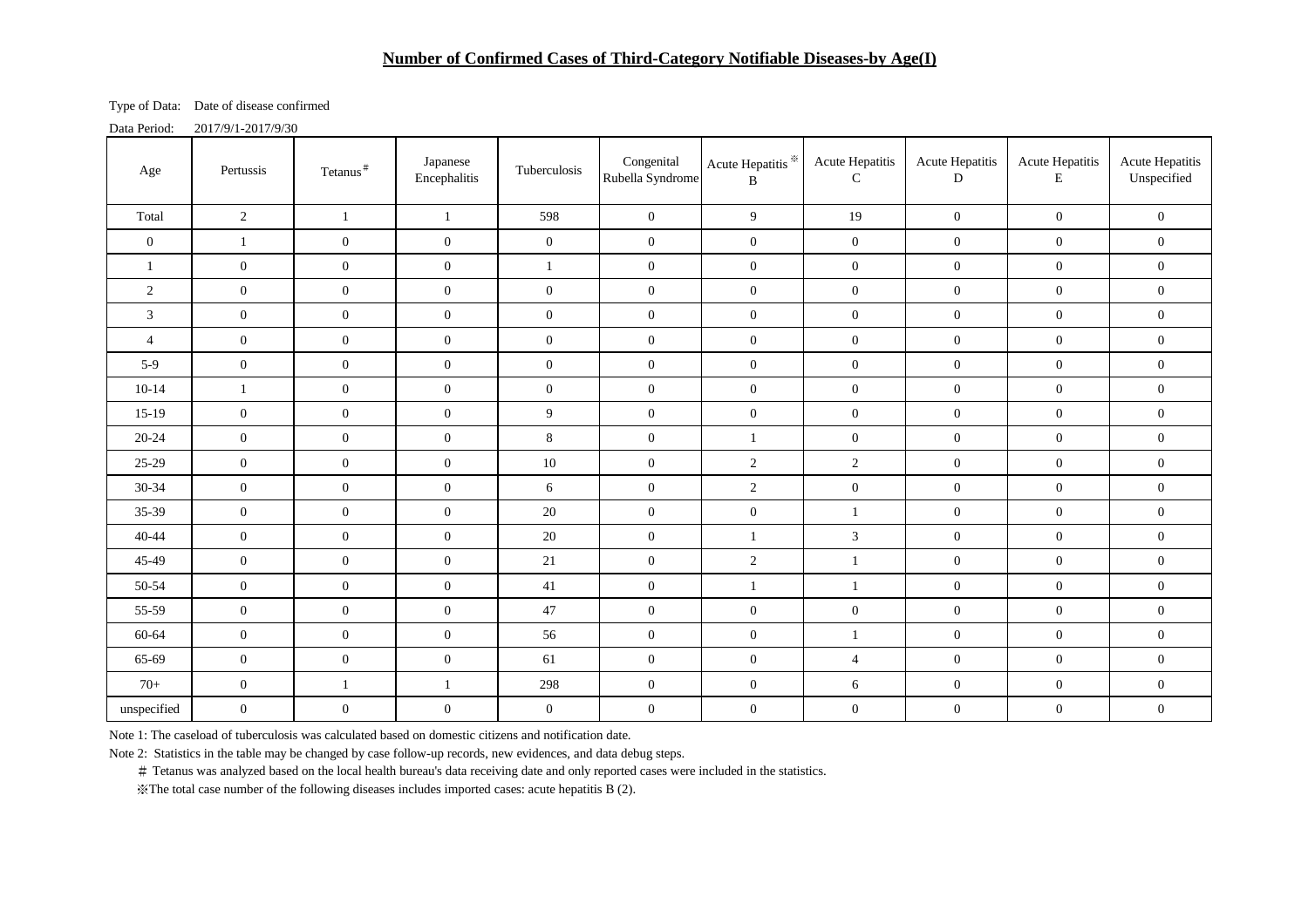#### **Number of Confirmed Cases of Third-Category Notifiable Diseases-by Age(I)**

Type of Data: Date of disease confirmed

Data Period: 2017/9/1-2017/9/30

| Age            | Pertussis        | Tetanus <sup>#</sup> | Japanese<br>Encephalitis | Tuberculosis     | Congenital<br>Rubella Syndrome | Acute Hepatitis <sup>※</sup><br>B | Acute Hepatitis<br>$\mathsf{C}$ | Acute Hepatitis<br>D | Acute Hepatitis<br>E | <b>Acute Hepatitis</b><br>Unspecified |
|----------------|------------------|----------------------|--------------------------|------------------|--------------------------------|-----------------------------------|---------------------------------|----------------------|----------------------|---------------------------------------|
| Total          | $\sqrt{2}$       | $\mathbf{1}$         | $\mathbf{1}$             | 598              | $\overline{0}$                 | 9 <sup>1</sup>                    | 19                              | $\boldsymbol{0}$     | $\mathbf{0}$         | $\mathbf{0}$                          |
| $\overline{0}$ | $\mathbf{1}$     | $\boldsymbol{0}$     | $\mathbf{0}$             | $\mathbf{0}$     | $\boldsymbol{0}$               | $\overline{0}$                    | $\boldsymbol{0}$                | $\mathbf{0}$         | $\boldsymbol{0}$     | $\overline{0}$                        |
| 1              | $\overline{0}$   | $\boldsymbol{0}$     | $\overline{0}$           | $\mathbf{1}$     | $\overline{0}$                 | $\overline{0}$                    | $\boldsymbol{0}$                | $\mathbf{0}$         | $\overline{0}$       | $\overline{0}$                        |
| 2              | $\overline{0}$   | $\mathbf{0}$         | $\overline{0}$           | $\boldsymbol{0}$ | $\overline{0}$                 | $\overline{0}$                    | $\overline{0}$                  | $\mathbf{0}$         | $\boldsymbol{0}$     | $\mathbf{0}$                          |
| 3              | $\overline{0}$   | $\boldsymbol{0}$     | $\overline{0}$           | $\boldsymbol{0}$ | $\boldsymbol{0}$               | $\overline{0}$                    | $\overline{0}$                  | $\mathbf{0}$         | $\boldsymbol{0}$     | $\mathbf{0}$                          |
| $\overline{4}$ | $\boldsymbol{0}$ | $\boldsymbol{0}$     | $\mathbf{0}$             | $\boldsymbol{0}$ | $\mathbf{0}$                   | $\overline{0}$                    | $\boldsymbol{0}$                | $\mathbf{0}$         | $\boldsymbol{0}$     | $\overline{0}$                        |
| $5-9$          | $\boldsymbol{0}$ | $\boldsymbol{0}$     | $\boldsymbol{0}$         | $\boldsymbol{0}$ | $\boldsymbol{0}$               | $\overline{0}$                    | $\overline{0}$                  | $\boldsymbol{0}$     | $\boldsymbol{0}$     | $\boldsymbol{0}$                      |
| $10-14$        | $\mathbf{1}$     | $\boldsymbol{0}$     | $\boldsymbol{0}$         | $\mathbf{0}$     | $\boldsymbol{0}$               | $\overline{0}$                    | $\boldsymbol{0}$                | $\mathbf{0}$         | $\boldsymbol{0}$     | $\boldsymbol{0}$                      |
| $15-19$        | $\boldsymbol{0}$ | $\boldsymbol{0}$     | $\boldsymbol{0}$         | 9                | $\overline{0}$                 | $\overline{0}$                    | $\boldsymbol{0}$                | $\boldsymbol{0}$     | $\boldsymbol{0}$     | $\boldsymbol{0}$                      |
| $20 - 24$      | $\overline{0}$   | $\boldsymbol{0}$     | $\boldsymbol{0}$         | $8\,$            | $\overline{0}$                 | $\mathbf{1}$                      | $\boldsymbol{0}$                | $\mathbf{0}$         | $\boldsymbol{0}$     | $\boldsymbol{0}$                      |
| $25-29$        | $\boldsymbol{0}$ | $\boldsymbol{0}$     | $\mathbf{0}$             | $10\,$           | $\mathbf{0}$                   | $\overline{2}$                    | 2                               | $\boldsymbol{0}$     | $\mathbf{0}$         | $\boldsymbol{0}$                      |
| $30 - 34$      | $\overline{0}$   | $\boldsymbol{0}$     | $\mathbf{0}$             | 6                | $\mathbf{0}$                   | $\overline{2}$                    | $\boldsymbol{0}$                | $\mathbf{0}$         | $\overline{0}$       | $\mathbf{0}$                          |
| 35-39          | $\boldsymbol{0}$ | $\boldsymbol{0}$     | $\boldsymbol{0}$         | $20\,$           | $\mathbf{0}$                   | $\overline{0}$                    | $\mathbf{1}$                    | $\boldsymbol{0}$     | $\boldsymbol{0}$     | $\mathbf{0}$                          |
| $40 - 44$      | $\boldsymbol{0}$ | $\boldsymbol{0}$     | $\mathbf{0}$             | $20\,$           | $\mathbf{0}$                   | $\mathbf{1}$                      | $\overline{3}$                  | $\boldsymbol{0}$     | $\mathbf{0}$         | $\overline{0}$                        |
| 45-49          | $\overline{0}$   | $\boldsymbol{0}$     | $\overline{0}$           | 21               | $\mathbf{0}$                   | $\overline{2}$                    | $\overline{1}$                  | $\mathbf{0}$         | $\boldsymbol{0}$     | $\mathbf{0}$                          |
| 50-54          | $\overline{0}$   | $\mathbf{0}$         | $\overline{0}$           | 41               | $\overline{0}$                 | $\mathbf{1}$                      | $\mathbf{1}$                    | $\boldsymbol{0}$     | $\boldsymbol{0}$     | $\boldsymbol{0}$                      |
| 55-59          | $\overline{0}$   | $\boldsymbol{0}$     | $\overline{0}$           | 47               | $\overline{0}$                 | $\overline{0}$                    | $\overline{0}$                  | $\mathbf{0}$         | $\boldsymbol{0}$     | $\mathbf{0}$                          |
| 60-64          | $\boldsymbol{0}$ | $\mathbf{0}$         | $\boldsymbol{0}$         | 56               | $\overline{0}$                 | $\overline{0}$                    | 1                               | $\boldsymbol{0}$     | $\boldsymbol{0}$     | $\mathbf{0}$                          |
| 65-69          | $\overline{0}$   | $\boldsymbol{0}$     | $\boldsymbol{0}$         | 61               | $\boldsymbol{0}$               | $\overline{0}$                    | $\overline{4}$                  | $\boldsymbol{0}$     | $\boldsymbol{0}$     | $\boldsymbol{0}$                      |
| $70+$          | $\boldsymbol{0}$ | $\mathbf{1}$         | $\,1\,$                  | 298              | $\boldsymbol{0}$               | $\mathbf{0}$                      | $\sqrt{6}$                      | $\boldsymbol{0}$     | $\boldsymbol{0}$     | $\boldsymbol{0}$                      |
| unspecified    | $\boldsymbol{0}$ | $\boldsymbol{0}$     | $\boldsymbol{0}$         | $\mathbf{0}$     | $\boldsymbol{0}$               | $\mathbf{0}$                      | $\boldsymbol{0}$                | $\boldsymbol{0}$     | $\boldsymbol{0}$     | $\boldsymbol{0}$                      |

Note 1: The caseload of tuberculosis was calculated based on domestic citizens and notification date.

Note 2: Statistics in the table may be changed by case follow-up records, new evidences, and data debug steps.

# Tetanus was analyzed based on the local health bureau's data receiving date and only reported cases were included in the statistics.

※The total case number of the following diseases includes imported cases: acute hepatitis B (2).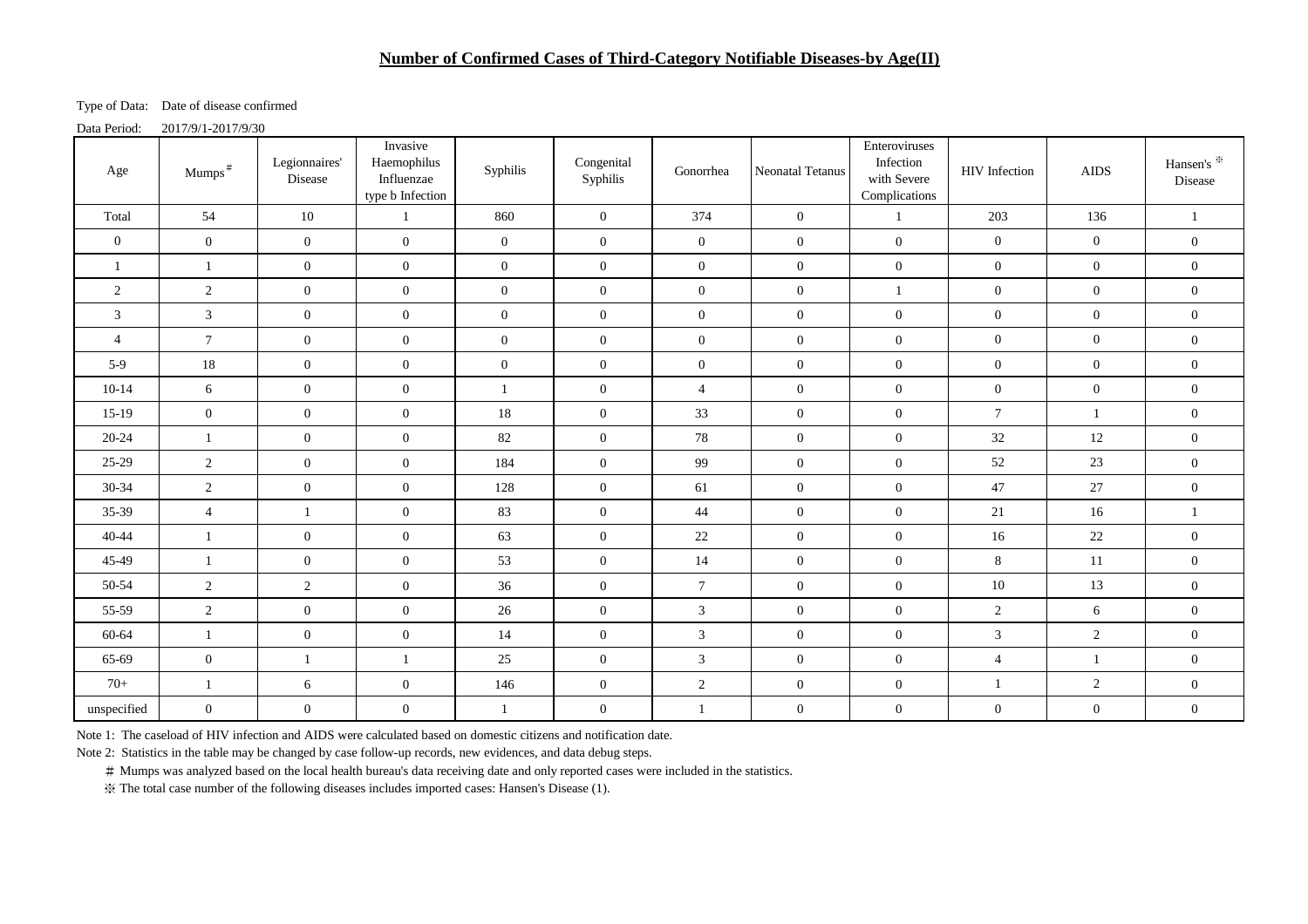#### **Number of Confirmed Cases of Third-Category Notifiable Diseases-by Age(II)**

Type of Data: Date of disease confirmed

Data Period: 2017/9/1-2017/9/30

| Age            | Mumps <sup>#</sup> | Legionnaires'<br>Disease | Invasive<br>Haemophilus<br>Influenzae<br>type b Infection | Syphilis         | Congenital<br>Syphilis | Gonorrhea        | <b>Neonatal Tetanus</b> | Enteroviruses<br>Infection<br>with Severe<br>Complications | HIV Infection    | <b>AIDS</b>      | Hansen's *<br>Disease |
|----------------|--------------------|--------------------------|-----------------------------------------------------------|------------------|------------------------|------------------|-------------------------|------------------------------------------------------------|------------------|------------------|-----------------------|
| Total          | 54                 | 10                       | $\mathbf{1}$                                              | 860              | $\boldsymbol{0}$       | 374              | $\overline{0}$          | $\mathbf{1}$                                               | 203              | 136              | $\mathbf{1}$          |
| $\overline{0}$ | $\overline{0}$     | $\overline{0}$           | $\mathbf{0}$                                              | $\mathbf{0}$     | $\overline{0}$         | $\overline{0}$   | $\overline{0}$          | $\overline{0}$                                             | $\overline{0}$   | $\mathbf{0}$     | $\mathbf{0}$          |
| $\mathbf{1}$   | $\mathbf{1}$       | $\overline{0}$           | $\overline{0}$                                            | $\overline{0}$   | $\overline{0}$         | $\overline{0}$   | $\mathbf{0}$            | $\overline{0}$                                             | $\overline{0}$   | $\overline{0}$   | $\mathbf{0}$          |
| $\overline{2}$ | $\overline{2}$     | $\overline{0}$           | $\overline{0}$                                            | $\overline{0}$   | $\overline{0}$         | $\mathbf{0}$     | $\mathbf{0}$            | 1                                                          | $\overline{0}$   | $\overline{0}$   | $\mathbf{0}$          |
| 3              | 3                  | $\overline{0}$           | $\overline{0}$                                            | $\overline{0}$   | $\overline{0}$         | $\mathbf{0}$     | $\mathbf{0}$            | $\overline{0}$                                             | $\overline{0}$   | $\overline{0}$   | $\overline{0}$        |
| $\overline{4}$ | $\tau$             | $\overline{0}$           | $\overline{0}$                                            | $\overline{0}$   | $\overline{0}$         | $\boldsymbol{0}$ | $\mathbf{0}$            | $\overline{0}$                                             | $\overline{0}$   | $\overline{0}$   | $\boldsymbol{0}$      |
| $5-9$          | 18                 | $\mathbf{0}$             | $\mathbf{0}$                                              | $\boldsymbol{0}$ | $\mathbf{0}$           | $\boldsymbol{0}$ | $\boldsymbol{0}$        | $\overline{0}$                                             | $\boldsymbol{0}$ | $\overline{0}$   | $\boldsymbol{0}$      |
| $10-14$        | 6                  | $\overline{0}$           | $\mathbf{0}$                                              | $\mathbf{1}$     | $\mathbf{0}$           | $\overline{4}$   | $\boldsymbol{0}$        | $\overline{0}$                                             | $\overline{0}$   | $\overline{0}$   | $\boldsymbol{0}$      |
| $15-19$        | $\overline{0}$     | $\overline{0}$           | $\overline{0}$                                            | 18               | $\overline{0}$         | 33               | $\overline{0}$          | $\overline{0}$                                             | $\tau$           | $\overline{1}$   | $\mathbf{0}$          |
| $20 - 24$      | $\mathbf{1}$       | $\overline{0}$           | $\mathbf{0}$                                              | 82               | $\overline{0}$         | 78               | $\mathbf{0}$            | $\overline{0}$                                             | 32               | 12               | $\mathbf{0}$          |
| $25-29$        | $\overline{2}$     | $\overline{0}$           | $\overline{0}$                                            | 184              | $\overline{0}$         | 99               | $\mathbf{0}$            | $\overline{0}$                                             | 52               | 23               | $\boldsymbol{0}$      |
| $30 - 34$      | 2                  | $\overline{0}$           | $\overline{0}$                                            | 128              | $\overline{0}$         | 61               | $\mathbf{0}$            | $\overline{0}$                                             | 47               | 27               | $\overline{0}$        |
| 35-39          | $\overline{4}$     | $\mathbf{1}$             | $\mathbf{0}$                                              | 83               | $\overline{0}$         | $44$             | $\mathbf{0}$            | $\overline{0}$                                             | 21               | 16               | $\mathbf{1}$          |
| $40 - 44$      | $\mathbf{1}$       | $\overline{0}$           | $\mathbf{0}$                                              | 63               | $\overline{0}$         | $22\,$           | $\mathbf{0}$            | $\overline{0}$                                             | 16               | 22               | $\boldsymbol{0}$      |
| 45-49          | -1                 | $\overline{0}$           | $\mathbf{0}$                                              | 53               | $\overline{0}$         | 14               | $\mathbf{0}$            | $\overline{0}$                                             | $8\,$            | 11               | $\mathbf{0}$          |
| 50-54          | $\overline{2}$     | $\overline{2}$           | $\overline{0}$                                            | 36               | $\overline{0}$         | $\tau$           | $\mathbf{0}$            | $\overline{0}$                                             | 10               | 13               | $\mathbf{0}$          |
| 55-59          | $\overline{2}$     | $\overline{0}$           | $\overline{0}$                                            | 26               | $\overline{0}$         | 3                | $\overline{0}$          | $\overline{0}$                                             | 2                | 6                | $\overline{0}$        |
| 60-64          | 1                  | $\overline{0}$           | $\overline{0}$                                            | 14               | $\overline{0}$         | $\mathfrak{Z}$   | $\mathbf{0}$            | $\overline{0}$                                             | $\mathfrak{Z}$   | $\overline{2}$   | $\boldsymbol{0}$      |
| 65-69          | $\overline{0}$     | $\mathbf{1}$             | $\overline{1}$                                            | 25               | $\overline{0}$         | $\mathfrak{Z}$   | $\mathbf{0}$            | $\overline{0}$                                             | $\overline{4}$   | $\mathbf{1}$     | $\mathbf{0}$          |
| $70+$          | $\mathbf{1}$       | 6                        | $\boldsymbol{0}$                                          | 146              | $\boldsymbol{0}$       | $\sqrt{2}$       | $\mathbf{0}$            | $\overline{0}$                                             | $\mathbf{1}$     | $\overline{2}$   | $\boldsymbol{0}$      |
| unspecified    | $\overline{0}$     | $\boldsymbol{0}$         | $\boldsymbol{0}$                                          | $\mathbf{1}$     | $\overline{0}$         | 1                | $\boldsymbol{0}$        | $\overline{0}$                                             | $\boldsymbol{0}$ | $\boldsymbol{0}$ | $\boldsymbol{0}$      |

Note 1: The caseload of HIV infection and AIDS were calculated based on domestic citizens and notification date.

Note 2: Statistics in the table may be changed by case follow-up records, new evidences, and data debug steps.

# Mumps was analyzed based on the local health bureau's data receiving date and only reported cases were included in the statistics.

※ The total case number of the following diseases includes imported cases: Hansen's Disease (1).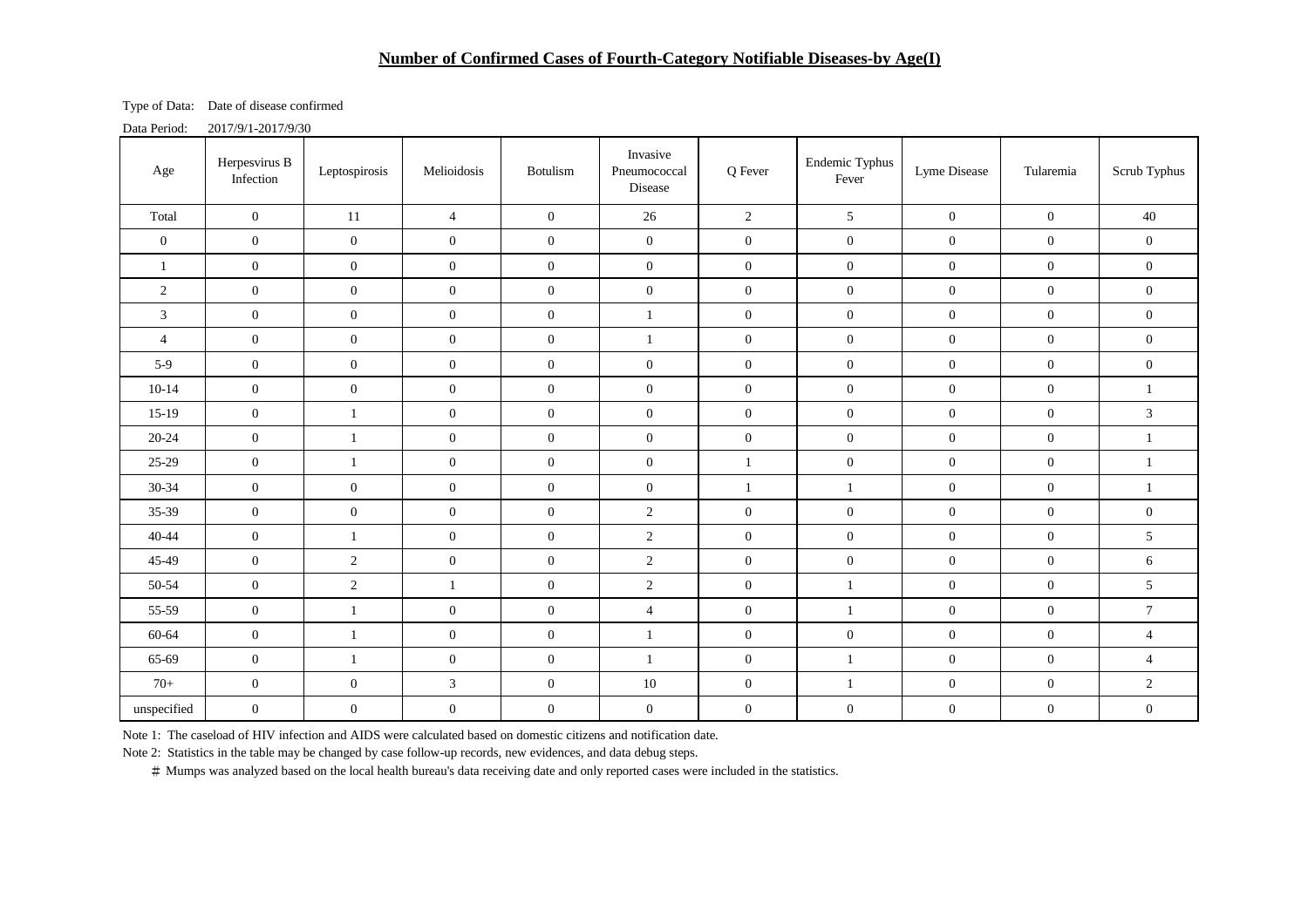### **Number of Confirmed Cases of Fourth-Category Notifiable Diseases-by Age(I)**

Type of Data: Date of disease confirmed

Data Period: 2017/9/1-2017/9/30

| Age            | Herpesvirus B<br>Infection | Leptospirosis    | Melioidosis      | Botulism         | Invasive<br>Pneumococcal<br>Disease | Q Fever          | Endemic Typhus<br>Fever | Lyme Disease     | Tularemia        | Scrub Typhus     |
|----------------|----------------------------|------------------|------------------|------------------|-------------------------------------|------------------|-------------------------|------------------|------------------|------------------|
| Total          | $\boldsymbol{0}$           | 11               | $\overline{4}$   | $\mathbf{0}$     | 26                                  | $\overline{2}$   | $5\overline{)}$         | $\mathbf{0}$     | $\overline{0}$   | 40               |
| $\mathbf{0}$   | $\boldsymbol{0}$           | $\boldsymbol{0}$ | $\overline{0}$   | $\overline{0}$   | $\boldsymbol{0}$                    | $\boldsymbol{0}$ | $\overline{0}$          | $\boldsymbol{0}$ | $\mathbf{0}$     | $\boldsymbol{0}$ |
| 1              | $\boldsymbol{0}$           | $\boldsymbol{0}$ | $\overline{0}$   | $\boldsymbol{0}$ | $\mathbf{0}$                        | $\boldsymbol{0}$ | $\overline{0}$          | $\mathbf{0}$     | $\overline{0}$   | $\boldsymbol{0}$ |
| 2              | $\boldsymbol{0}$           | $\boldsymbol{0}$ | $\boldsymbol{0}$ | $\boldsymbol{0}$ | $\boldsymbol{0}$                    | $\boldsymbol{0}$ | $\boldsymbol{0}$        | $\boldsymbol{0}$ | $\mathbf{0}$     | $\boldsymbol{0}$ |
| $\mathfrak{Z}$ | $\mathbf{0}$               | $\boldsymbol{0}$ | $\overline{0}$   | $\boldsymbol{0}$ | $\mathbf{1}$                        | $\overline{0}$   | $\overline{0}$          | $\boldsymbol{0}$ | $\boldsymbol{0}$ | $\boldsymbol{0}$ |
| $\overline{4}$ | $\boldsymbol{0}$           | $\boldsymbol{0}$ | $\mathbf{0}$     | $\boldsymbol{0}$ | $\mathbf{1}$                        | $\mathbf{0}$     | $\overline{0}$          | $\overline{0}$   | $\mathbf{0}$     | $\boldsymbol{0}$ |
| $5-9$          | $\boldsymbol{0}$           | $\boldsymbol{0}$ | $\overline{0}$   | $\overline{0}$   | $\boldsymbol{0}$                    | $\mathbf{0}$     | $\boldsymbol{0}$        | $\boldsymbol{0}$ | $\overline{0}$   | $\boldsymbol{0}$ |
| $10 - 14$      | $\boldsymbol{0}$           | $\boldsymbol{0}$ | $\overline{0}$   | $\boldsymbol{0}$ | $\boldsymbol{0}$                    | $\mathbf{0}$     | $\overline{0}$          | $\boldsymbol{0}$ | $\mathbf{0}$     | $\mathbf{1}$     |
| $15-19$        | $\boldsymbol{0}$           | $\mathbf{1}$     | $\boldsymbol{0}$ | $\boldsymbol{0}$ | $\boldsymbol{0}$                    | $\boldsymbol{0}$ | $\boldsymbol{0}$        | $\boldsymbol{0}$ | $\boldsymbol{0}$ | $\sqrt{3}$       |
| $20 - 24$      | $\boldsymbol{0}$           | $\mathbf{1}$     | $\boldsymbol{0}$ | $\boldsymbol{0}$ | $\boldsymbol{0}$                    | $\boldsymbol{0}$ | $\overline{0}$          | $\boldsymbol{0}$ | $\mathbf{0}$     | $\mathbf{1}$     |
| 25-29          | $\boldsymbol{0}$           | $\mathbf{1}$     | $\boldsymbol{0}$ | $\boldsymbol{0}$ | $\boldsymbol{0}$                    | $\mathbf{1}$     | $\overline{0}$          | $\boldsymbol{0}$ | $\mathbf{0}$     | $\mathbf{1}$     |
| $30 - 34$      | $\boldsymbol{0}$           | $\boldsymbol{0}$ | $\boldsymbol{0}$ | $\boldsymbol{0}$ | $\boldsymbol{0}$                    | $\mathbf{1}$     | $\mathbf{1}$            | $\boldsymbol{0}$ | $\mathbf{0}$     | $\mathbf{1}$     |
| 35-39          | $\boldsymbol{0}$           | $\boldsymbol{0}$ | $\mathbf{0}$     | $\boldsymbol{0}$ | $\overline{2}$                      | $\mathbf{0}$     | $\overline{0}$          | $\boldsymbol{0}$ | $\mathbf{0}$     | $\boldsymbol{0}$ |
| $40 - 44$      | $\boldsymbol{0}$           | $\mathbf{1}$     | $\mathbf{0}$     | $\boldsymbol{0}$ | $\sqrt{2}$                          | $\boldsymbol{0}$ | $\overline{0}$          | $\boldsymbol{0}$ | $\mathbf{0}$     | $5\phantom{.0}$  |
| 45-49          | $\boldsymbol{0}$           | $\overline{2}$   | $\mathbf{0}$     | $\boldsymbol{0}$ | $\overline{2}$                      | $\mathbf{0}$     | $\overline{0}$          | $\mathbf{0}$     | $\mathbf{0}$     | $\sqrt{6}$       |
| 50-54          | $\boldsymbol{0}$           | $\overline{2}$   | $\mathbf{1}$     | $\boldsymbol{0}$ | $\sqrt{2}$                          | $\boldsymbol{0}$ | $\mathbf{1}$            | $\boldsymbol{0}$ | $\mathbf{0}$     | $5\,$            |
| 55-59          | $\boldsymbol{0}$           | $\mathbf{1}$     | $\mathbf{0}$     | $\boldsymbol{0}$ | $\overline{4}$                      | $\boldsymbol{0}$ | $\mathbf{1}$            | $\boldsymbol{0}$ | $\boldsymbol{0}$ | $\boldsymbol{7}$ |
| 60-64          | $\boldsymbol{0}$           | $\mathbf{1}$     | $\boldsymbol{0}$ | $\boldsymbol{0}$ | $\mathbf{1}$                        | $\boldsymbol{0}$ | $\boldsymbol{0}$        | $\boldsymbol{0}$ | $\boldsymbol{0}$ | $\overline{4}$   |
| 65-69          | $\boldsymbol{0}$           | $\mathbf{1}$     | $\mathbf{0}$     | $\boldsymbol{0}$ | $\mathbf{1}$                        | $\mathbf{0}$     | $\mathbf{1}$            | $\boldsymbol{0}$ | $\mathbf{0}$     | $\overline{4}$   |
| $70+$          | $\boldsymbol{0}$           | $\boldsymbol{0}$ | $\mathfrak{Z}$   | $\boldsymbol{0}$ | $10\,$                              | $\boldsymbol{0}$ | $\mathbf{1}$            | $\boldsymbol{0}$ | $\mathbf{0}$     | $\sqrt{2}$       |
| unspecified    | $\boldsymbol{0}$           | $\boldsymbol{0}$ | $\boldsymbol{0}$ | $\boldsymbol{0}$ | $\mathbf{0}$                        | $\boldsymbol{0}$ | $\boldsymbol{0}$        | $\boldsymbol{0}$ | $\boldsymbol{0}$ | $\boldsymbol{0}$ |

Note 1: The caseload of HIV infection and AIDS were calculated based on domestic citizens and notification date.

Note 2: Statistics in the table may be changed by case follow-up records, new evidences, and data debug steps.

# Mumps was analyzed based on the local health bureau's data receiving date and only reported cases were included in the statistics.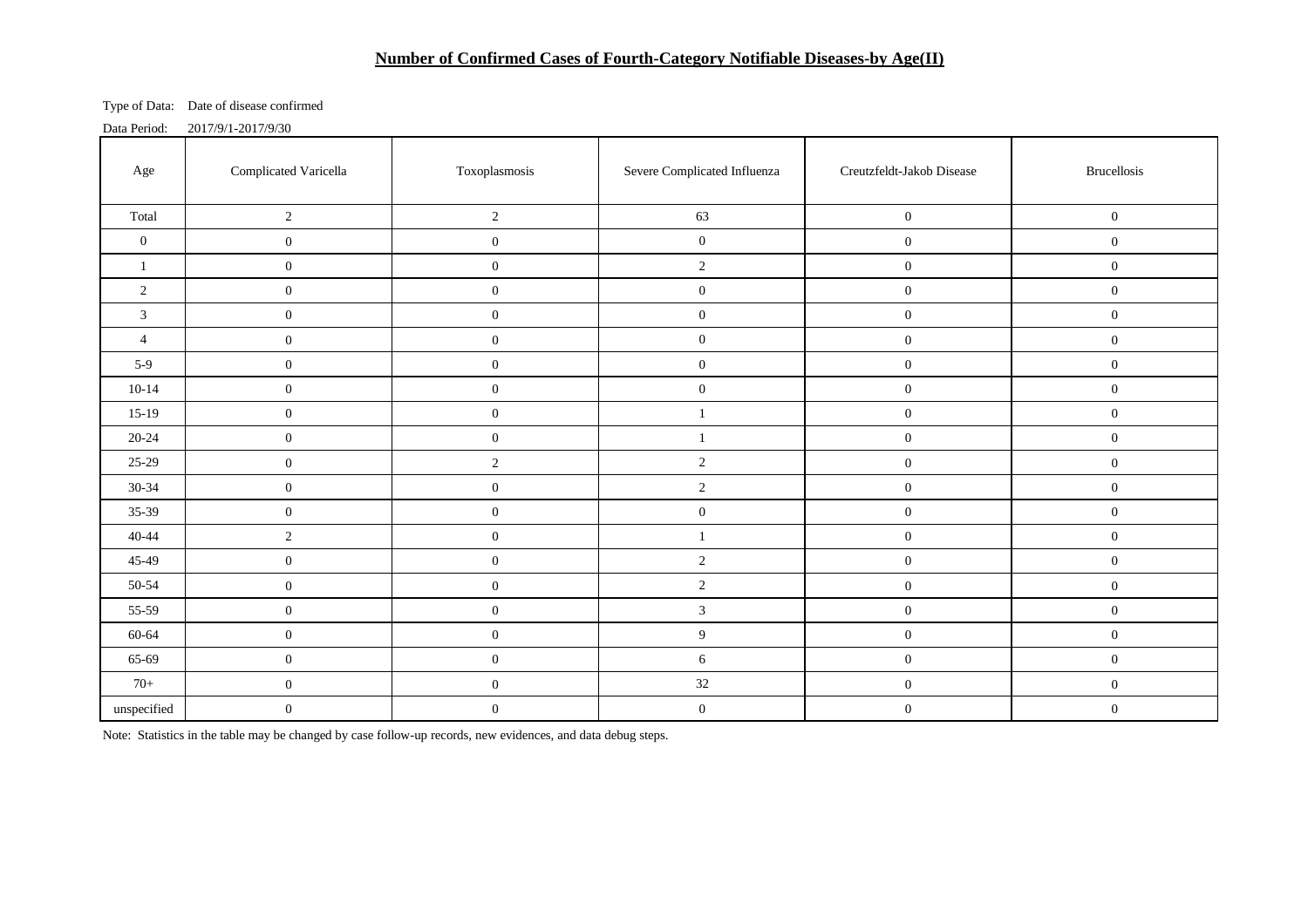# **Number of Confirmed Cases of Fourth-Category Notifiable Diseases-by Age(II)**

Type of Data: Date of disease confirmed

| Data Period: | 2017/9/1-2017/9/30 |
|--------------|--------------------|
|              |                    |

| Age              | Complicated Varicella | Toxoplasmosis    | Severe Complicated Influenza | Creutzfeldt-Jakob Disease | <b>Brucellosis</b> |  |
|------------------|-----------------------|------------------|------------------------------|---------------------------|--------------------|--|
| Total            | $\overline{c}$        | $\sqrt{2}$       | 63                           | $\boldsymbol{0}$          | $\mathbf{0}$       |  |
| $\boldsymbol{0}$ | $\boldsymbol{0}$      | $\boldsymbol{0}$ | $\boldsymbol{0}$             | $\boldsymbol{0}$          | $\mathbf{0}$       |  |
| $\mathbf{1}$     | $0\,$                 | $\boldsymbol{0}$ | $\overline{2}$               | $\boldsymbol{0}$          | $\mathbf{0}$       |  |
| $\overline{c}$   | $\boldsymbol{0}$      | $\boldsymbol{0}$ | $\boldsymbol{0}$             | $\boldsymbol{0}$          | $\mathbf{0}$       |  |
| $\mathfrak{Z}$   | $\boldsymbol{0}$      | $\boldsymbol{0}$ | $\boldsymbol{0}$             | $\mathbf{0}$              | $\mathbf{0}$       |  |
| $\overline{4}$   | $\boldsymbol{0}$      | $\boldsymbol{0}$ | $\boldsymbol{0}$             | $\boldsymbol{0}$          | $\mathbf{0}$       |  |
| $5-9$            | $0\,$                 | $\boldsymbol{0}$ | $\boldsymbol{0}$             | $\boldsymbol{0}$          | $\mathbf{0}$       |  |
| $10-14$          | $0\,$                 | $\boldsymbol{0}$ | $\boldsymbol{0}$             | $\boldsymbol{0}$          | $\boldsymbol{0}$   |  |
| $15-19$          | $0\,$                 | $\boldsymbol{0}$ | $\mathbf{1}$                 | $\boldsymbol{0}$          | $\mathbf{0}$       |  |
| $20 - 24$        | $0\,$                 | $\boldsymbol{0}$ | $\mathbf{1}$                 | $\mathbf{0}$              | $\mathbf{0}$       |  |
| 25-29            | $\boldsymbol{0}$      | $\sqrt{2}$       | $\sqrt{2}$                   | $\boldsymbol{0}$          | $\mathbf{0}$       |  |
| 30-34            | $\boldsymbol{0}$      | $\boldsymbol{0}$ | $\sqrt{2}$                   | $\boldsymbol{0}$          | $\overline{0}$     |  |
| 35-39            | $0\,$                 | $\boldsymbol{0}$ | $\boldsymbol{0}$             | $\boldsymbol{0}$          | $\mathbf{0}$       |  |
| $40 - 44$        | $\overline{c}$        | $\boldsymbol{0}$ | $\mathbf{1}$                 | $\boldsymbol{0}$          | $\mathbf{0}$       |  |
| 45-49            | $0\,$                 | $\boldsymbol{0}$ | $\sqrt{2}$                   | $\mathbf{0}$              | $\overline{0}$     |  |
| 50-54            | $0\,$                 | $\boldsymbol{0}$ | $\sqrt{2}$                   | $\boldsymbol{0}$          | $\boldsymbol{0}$   |  |
| 55-59            | $\boldsymbol{0}$      | $\boldsymbol{0}$ | $\mathfrak{Z}$               | $\boldsymbol{0}$          | $\overline{0}$     |  |
| 60-64            | $0\,$                 | $\boldsymbol{0}$ | $\boldsymbol{9}$             | $\boldsymbol{0}$          | $\boldsymbol{0}$   |  |
| 65-69            | $\mathbf{0}$          | $\boldsymbol{0}$ | $6\,$                        | $\boldsymbol{0}$          | $\overline{0}$     |  |
| $70+$            | $\boldsymbol{0}$      | $\boldsymbol{0}$ | 32                           | $\boldsymbol{0}$          | $\mathbf{0}$       |  |
| $\!$ unspecified | $\boldsymbol{0}$      | $\boldsymbol{0}$ | $\boldsymbol{0}$             | $\boldsymbol{0}$          | $\mathbf{0}$       |  |

Note: Statistics in the table may be changed by case follow-up records, new evidences, and data debug steps.